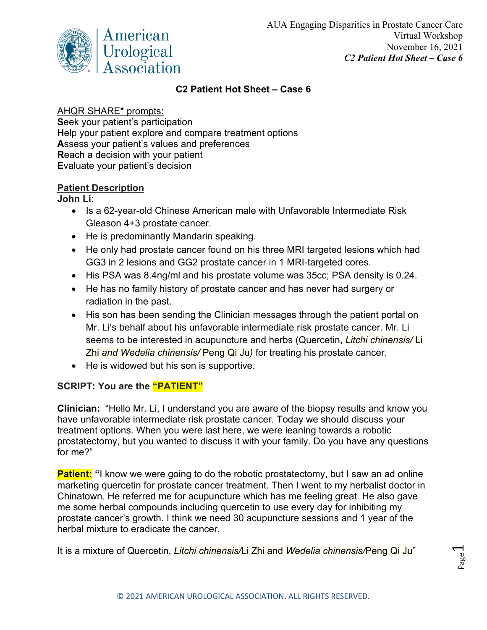

## **C2 Patient Hot Sheet – Case 6**

## AHQR SHARE\* prompts:

**S**eek your patient's participation **H**elp your patient explore and compare treatment options **A**ssess your patient's values and preferences **R**each a decision with your patient **E**valuate your patient's decision

## **Patient Description**

**John Li**:

- Is a 62-year-old Chinese American male with Unfavorable Intermediate Risk Gleason 4+3 prostate cancer.
- He is predominantly Mandarin speaking.
- He only had prostate cancer found on his three MRI targeted lesions which had GG3 in 2 lesions and GG2 prostate cancer in 1 MRI-targeted cores.
- His PSA was 8.4ng/ml and his prostate volume was 35cc; PSA density is 0.24.
- He has no family history of prostate cancer and has never had surgery or radiation in the past.
- His son has been sending the Clinician messages through the patient portal on Mr. Li's behalf about his unfavorable intermediate risk prostate cancer. Mr. Li seems to be interested in acupuncture and herbs (Quercetin, *Litchi chinensis/* Li Zhi *and Wedelia chinensis/* Peng Qi Ju*)* for treating his prostate cancer.
- He is widowed but his son is supportive.

## **SCRIPT: You are the "PATIENT"**

**Clinician:** "Hello Mr. Li, I understand you are aware of the biopsy results and know you have unfavorable intermediate risk prostate cancer. Today we should discuss your treatment options. When you were last here, we were leaning towards a robotic prostatectomy, but you wanted to discuss it with your family. Do you have any questions for me?"

**Patient:** "I know we were going to do the robotic prostatectomy, but I saw an ad online marketing quercetin for prostate cancer treatment. Then I went to my herbalist doctor in Chinatown. He referred me for acupuncture which has me feeling great. He also gave me some herbal compounds including quercetin to use every day for inhibiting my prostate cancer's growth. I think we need 30 acupuncture sessions and 1 year of the herbal mixture to eradicate the cancer.

It is a mixture of Quercetin, *Litchi chinensis/*Li Zhi and *Wedelia chinensis/*Peng Qi Ju"